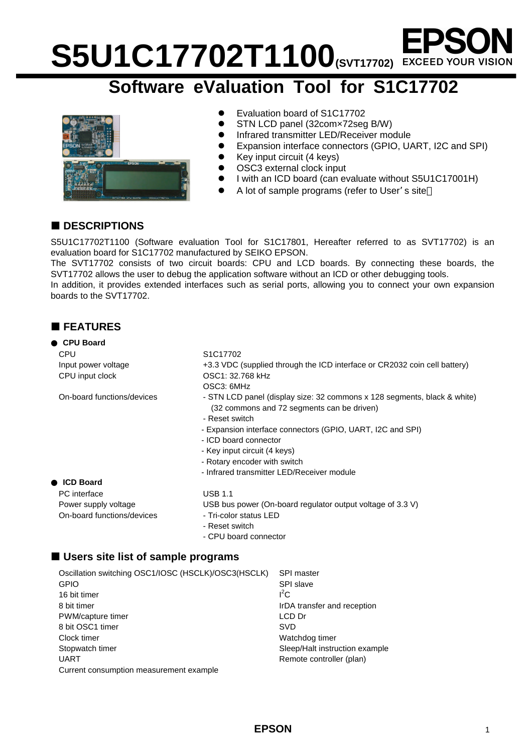# S5U1C17702T1100 **S5U1C17702T1**

## **Software eValuation Tool for S1C17702**



- Evaluation board of S1C17702
- STN LCD panel (32com×72seg B/W)
- **•** Infrared transmitter LED/Receiver module
- Expansion interface connectors (GPIO, UART, I2C and SPI)
- $\bullet$  Key input circuit (4 keys)
- OSC3 external clock input
- l I with an ICD board (can evaluate without S5U1C17001H)
- A lot of sample programs (refer to User's site

## ■ **DESCRIPTIONS**

S5U1C17702T1100 (Software evaluation Tool for S1C17801, Hereafter referred to as SVT17702) is an evaluation board for S1C17702 manufactured by SEIKO EPSON.

The SVT17702 consists of two circuit boards: CPU and LCD boards. By connecting these boards, the SVT17702 allows the user to debug the application software without an ICD or other debugging tools.

In addition, it provides extended interfaces such as serial ports, allowing you to connect your own expansion boards to the SVT17702.

## ¢ **FEATURES**

## **CPU Board** CPU S1C17702 Input power voltage CPU input clock

On-board functions/devices

- Infrared transmitter LED/Receiver module

### **ICD Board**

PC interface USB 1.1 On-board functions/devices - Tri-color status LED

## Power supply voltage USB bus power (On-board regulator output voltage of 3.3 V)

- 
- Reset switch
- CPU board connector

## ■ Users site list of sample programs

| Oscillation switching OSC1/IOSC (HSCLK)/OSC3(HSCLK) | <b>SPI master</b>              |
|-----------------------------------------------------|--------------------------------|
| <b>GPIO</b>                                         | <b>SPI slave</b>               |
| 16 bit timer                                        | $I^2C$                         |
| 8 bit timer                                         | IrDA transfer and reception    |
| PWM/capture timer                                   | LCD Dr                         |
| 8 bit OSC1 timer                                    | SVD                            |
| Clock timer                                         | Watchdog timer                 |
| Stopwatch timer                                     | Sleep/Halt instruction example |
| <b>UART</b>                                         | Remote controller (plan)       |
| Current consumption measurement example             |                                |